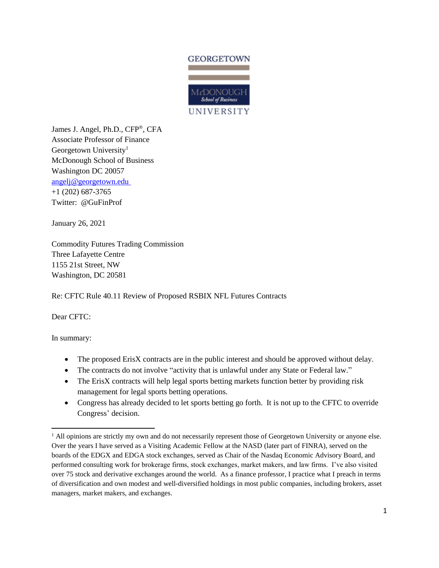

James J. Angel, Ph.D., CFP®, CFA Associate Professor of Finance Georgetown University<sup>1</sup> McDonough School of Business Washington DC 20057 [angelj@georgetown.edu](mailto:angelj@georgetown.edu) +1 (202) 687-3765 Twitter: @GuFinProf

January 26, 2021

Commodity Futures Trading Commission Three Lafayette Centre 1155 21st Street, NW Washington, DC 20581

Re: CFTC Rule 40.11 Review of Proposed RSBIX NFL Futures Contracts

Dear CFTC:

In summary:

 $\overline{a}$ 

- The proposed ErisX contracts are in the public interest and should be approved without delay.
- The contracts do not involve "activity that is unlawful under any State or Federal law."
- The ErisX contracts will help legal sports betting markets function better by providing risk management for legal sports betting operations.
- Congress has already decided to let sports betting go forth. It is not up to the CFTC to override Congress' decision.

<sup>&</sup>lt;sup>1</sup> All opinions are strictly my own and do not necessarily represent those of Georgetown University or anyone else. Over the years I have served as a Visiting Academic Fellow at the NASD (later part of FINRA), served on the boards of the EDGX and EDGA stock exchanges, served as Chair of the Nasdaq Economic Advisory Board, and performed consulting work for brokerage firms, stock exchanges, market makers, and law firms. I've also visited over 75 stock and derivative exchanges around the world. As a finance professor, I practice what I preach in terms of diversification and own modest and well-diversified holdings in most public companies, including brokers, asset managers, market makers, and exchanges.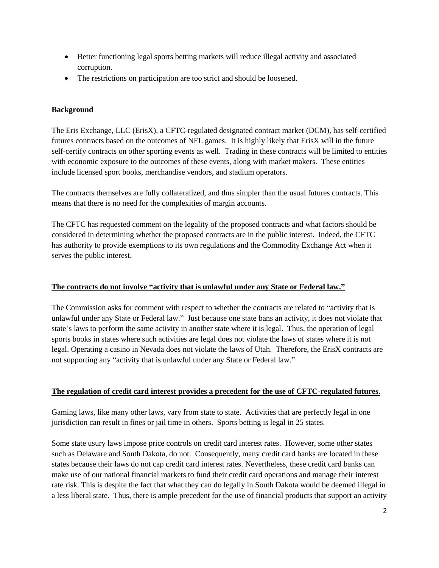- Better functioning legal sports betting markets will reduce illegal activity and associated corruption.
- The restrictions on participation are too strict and should be loosened.

## **Background**

The Eris Exchange, LLC (ErisX), a CFTC-regulated designated contract market (DCM), has self-certified futures contracts based on the outcomes of NFL games. It is highly likely that ErisX will in the future self-certify contracts on other sporting events as well. Trading in these contracts will be limited to entities with economic exposure to the outcomes of these events, along with market makers. These entities include licensed sport books, merchandise vendors, and stadium operators.

The contracts themselves are fully collateralized, and thus simpler than the usual futures contracts. This means that there is no need for the complexities of margin accounts.

The CFTC has requested comment on the legality of the proposed contracts and what factors should be considered in determining whether the proposed contracts are in the public interest. Indeed, the CFTC has authority to provide exemptions to its own regulations and the Commodity Exchange Act when it serves the public interest.

## **The contracts do not involve "activity that is unlawful under any State or Federal law."**

The Commission asks for comment with respect to whether the contracts are related to "activity that is unlawful under any State or Federal law." Just because one state bans an activity, it does not violate that state's laws to perform the same activity in another state where it is legal. Thus, the operation of legal sports books in states where such activities are legal does not violate the laws of states where it is not legal. Operating a casino in Nevada does not violate the laws of Utah. Therefore, the ErisX contracts are not supporting any "activity that is unlawful under any State or Federal law."

## **The regulation of credit card interest provides a precedent for the use of CFTC-regulated futures.**

Gaming laws, like many other laws, vary from state to state. Activities that are perfectly legal in one jurisdiction can result in fines or jail time in others. Sports betting is legal in 25 states.

Some state usury laws impose price controls on credit card interest rates. However, some other states such as Delaware and South Dakota, do not. Consequently, many credit card banks are located in these states because their laws do not cap credit card interest rates. Nevertheless, these credit card banks can make use of our national financial markets to fund their credit card operations and manage their interest rate risk. This is despite the fact that what they can do legally in South Dakota would be deemed illegal in a less liberal state. Thus, there is ample precedent for the use of financial products that support an activity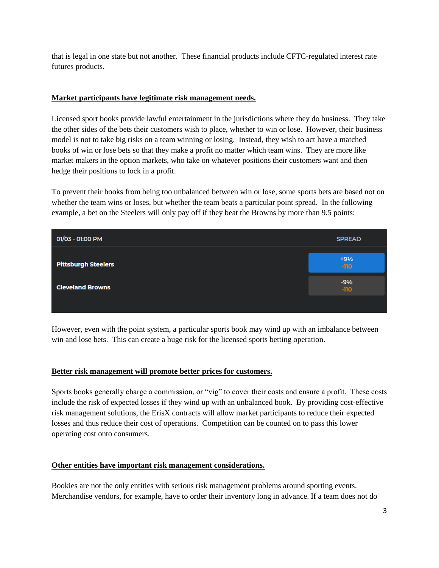that is legal in one state but not another. These financial products include CFTC-regulated interest rate futures products.

### **Market participants have legitimate risk management needs.**

Licensed sport books provide lawful entertainment in the jurisdictions where they do business. They take the other sides of the bets their customers wish to place, whether to win or lose. However, their business model is not to take big risks on a team winning or losing. Instead, they wish to act have a matched books of win or lose bets so that they make a profit no matter which team wins. They are more like market makers in the option markets, who take on whatever positions their customers want and then hedge their positions to lock in a profit.

To prevent their books from being too unbalanced between win or lose, some sports bets are based not on whether the team wins or loses, but whether the team beats a particular point spread. In the following example, a bet on the Steelers will only pay off if they beat the Browns by more than 9.5 points:

| 01/03 - 01:00 PM           | <b>SPREAD</b>             |
|----------------------------|---------------------------|
| <b>Pittsburgh Steelers</b> | $+9\frac{1}{2}$<br>$-110$ |
| <b>Cleveland Browns</b>    | $-9\frac{1}{2}$<br>$-110$ |
|                            |                           |

However, even with the point system, a particular sports book may wind up with an imbalance between win and lose bets. This can create a huge risk for the licensed sports betting operation.

#### **Better risk management will promote better prices for customers.**

Sports books generally charge a commission, or "vig" to cover their costs and ensure a profit. These costs include the risk of expected losses if they wind up with an unbalanced book. By providing cost-effective risk management solutions, the ErisX contracts will allow market participants to reduce their expected losses and thus reduce their cost of operations. Competition can be counted on to pass this lower operating cost onto consumers.

## **Other entities have important risk management considerations.**

Bookies are not the only entities with serious risk management problems around sporting events. Merchandise vendors, for example, have to order their inventory long in advance. If a team does not do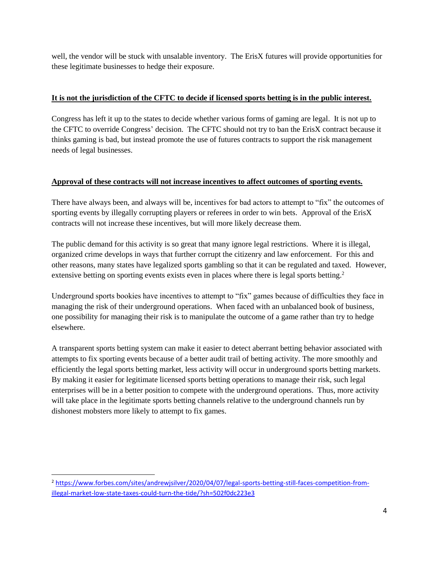well, the vendor will be stuck with unsalable inventory. The ErisX futures will provide opportunities for these legitimate businesses to hedge their exposure.

# **It is not the jurisdiction of the CFTC to decide if licensed sports betting is in the public interest.**

Congress has left it up to the states to decide whether various forms of gaming are legal. It is not up to the CFTC to override Congress' decision. The CFTC should not try to ban the ErisX contract because it thinks gaming is bad, but instead promote the use of futures contracts to support the risk management needs of legal businesses.

## **Approval of these contracts will not increase incentives to affect outcomes of sporting events.**

There have always been, and always will be, incentives for bad actors to attempt to "fix" the outcomes of sporting events by illegally corrupting players or referees in order to win bets. Approval of the ErisX contracts will not increase these incentives, but will more likely decrease them.

The public demand for this activity is so great that many ignore legal restrictions. Where it is illegal, organized crime develops in ways that further corrupt the citizenry and law enforcement. For this and other reasons, many states have legalized sports gambling so that it can be regulated and taxed. However, extensive betting on sporting events exists even in places where there is legal sports betting.<sup>2</sup>

Underground sports bookies have incentives to attempt to "fix" games because of difficulties they face in managing the risk of their underground operations. When faced with an unbalanced book of business, one possibility for managing their risk is to manipulate the outcome of a game rather than try to hedge elsewhere.

A transparent sports betting system can make it easier to detect aberrant betting behavior associated with attempts to fix sporting events because of a better audit trail of betting activity. The more smoothly and efficiently the legal sports betting market, less activity will occur in underground sports betting markets. By making it easier for legitimate licensed sports betting operations to manage their risk, such legal enterprises will be in a better position to compete with the underground operations. Thus, more activity will take place in the legitimate sports betting channels relative to the underground channels run by dishonest mobsters more likely to attempt to fix games.

 $\overline{a}$ <sup>2</sup> [https://www.forbes.com/sites/andrewjsilver/2020/04/07/legal-sports-betting-still-faces-competition-from](https://www.forbes.com/sites/andrewjsilver/2020/04/07/legal-sports-betting-still-faces-competition-from-illegal-market-low-state-taxes-could-turn-the-tide/?sh=502f0dc223e3)[illegal-market-low-state-taxes-could-turn-the-tide/?sh=502f0dc223e3](https://www.forbes.com/sites/andrewjsilver/2020/04/07/legal-sports-betting-still-faces-competition-from-illegal-market-low-state-taxes-could-turn-the-tide/?sh=502f0dc223e3)